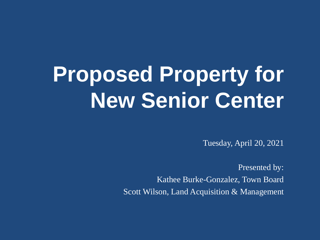# **Proposed Property for New Senior Center**

Tuesday, April 20, 2021

Presented by: Kathee Burke-Gonzalez, Town Board Scott Wilson, Land Acquisition & Management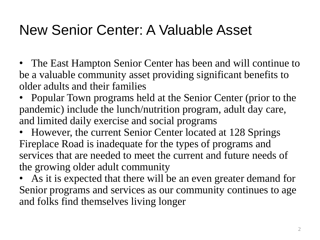### New Senior Center: A Valuable Asset

- The East Hampton Senior Center has been and will continue to be a valuable community asset providing significant benefits to older adults and their families
- Popular Town programs held at the Senior Center (prior to the pandemic) include the lunch/nutrition program, adult day care, and limited daily exercise and social programs
- However, the current Senior Center located at 128 Springs Fireplace Road is inadequate for the types of programs and services that are needed to meet the current and future needs of the growing older adult community
- As it is expected that there will be an even greater demand for Senior programs and services as our community continues to age and folks find themselves living longer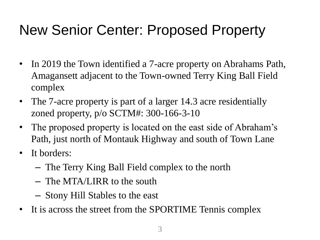### New Senior Center: Proposed Property

- In 2019 the Town identified a 7-acre property on Abrahams Path, Amagansett adjacent to the Town-owned Terry King Ball Field complex
- The 7-acre property is part of a larger 14.3 acre residentially zoned property, p/o SCTM#: 300-166-3-10
- The proposed property is located on the east side of Abraham's Path, just north of Montauk Highway and south of Town Lane
- It borders:
	- The Terry King Ball Field complex to the north
	- The MTA/LIRR to the south
	- Stony Hill Stables to the east
- It is across the street from the SPORTIME Tennis complex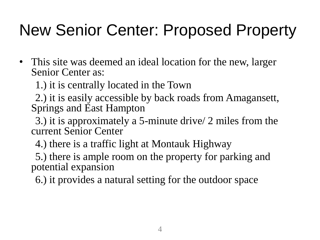### New Senior Center: Proposed Property

• This site was deemed an ideal location for the new, larger Senior Center as:

1.) it is centrally located in the Town

2.) it is easily accessible by back roads from Amagansett, Springs and East Hampton

3.) it is approximately a 5-minute drive/ 2 miles from the current Senior Center

4.) there is a traffic light at Montauk Highway

5.) there is ample room on the property for parking and potential expansion

6.) it provides a natural setting for the outdoor space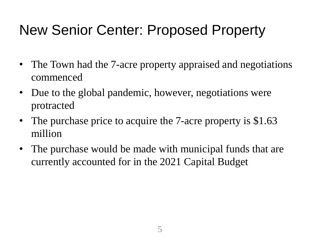### New Senior Center: Proposed Property

- The Town had the 7-acre property appraised and negotiations commenced
- Due to the global pandemic, however, negotiations were protracted
- The purchase price to acquire the 7-acre property is \$1.63 million
- The purchase would be made with municipal funds that are currently accounted for in the 2021 Capital Budget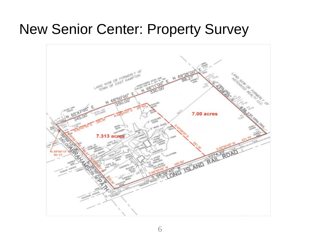#### New Senior Center: Property Survey

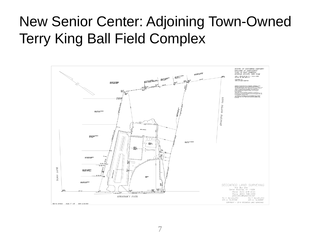### New Senior Center: Adjoining Town-Owned Terry King Ball Field Complex

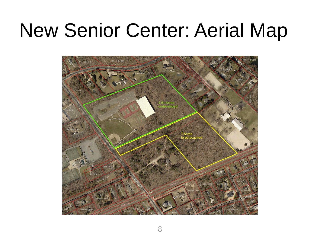## New Senior Center: Aerial Map

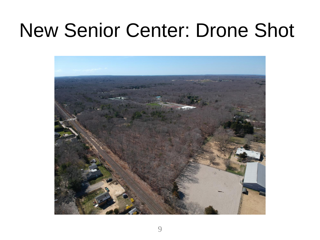## New Senior Center: Drone Shot

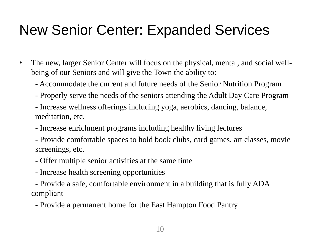### New Senior Center: Expanded Services

- The new, larger Senior Center will focus on the physical, mental, and social wellbeing of our Seniors and will give the Town the ability to:
	- Accommodate the current and future needs of the Senior Nutrition Program
	- Properly serve the needs of the seniors attending the Adult Day Care Program
	- Increase wellness offerings including yoga, aerobics, dancing, balance, meditation, etc.
	- Increase enrichment programs including healthy living lectures
	- Provide comfortable spaces to hold book clubs, card games, art classes, movie screenings, etc.
	- Offer multiple senior activities at the same time
	- Increase health screening opportunities
	- Provide a safe, comfortable environment in a building that is fully ADA compliant
		- Provide a permanent home for the East Hampton Food Pantry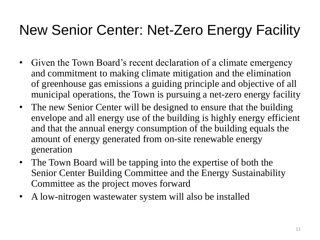### New Senior Center: Net-Zero Energy Facility

- Given the Town Board's recent declaration of a climate emergency and commitment to making climate mitigation and the elimination of greenhouse gas emissions a guiding principle and objective of all municipal operations, the Town is pursuing a net-zero energy facility
- The new Senior Center will be designed to ensure that the building envelope and all energy use of the building is highly energy efficient and that the annual energy consumption of the building equals the amount of energy generated from on-site renewable energy generation
- The Town Board will be tapping into the expertise of both the Senior Center Building Committee and the Energy Sustainability Committee as the project moves forward
- A low-nitrogen wastewater system will also be installed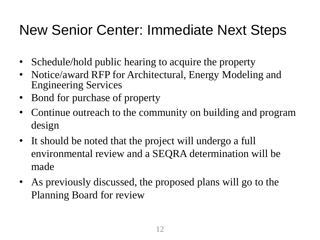### New Senior Center: Immediate Next Steps

- Schedule/hold public hearing to acquire the property
- Notice/award RFP for Architectural, Energy Modeling and Engineering Services
- Bond for purchase of property
- Continue outreach to the community on building and program design
- It should be noted that the project will undergo a full environmental review and a SEQRA determination will be made
- As previously discussed, the proposed plans will go to the Planning Board for review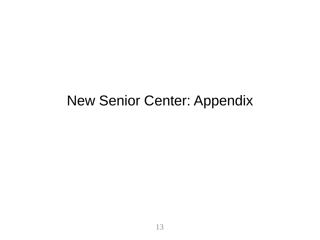#### New Senior Center: Appendix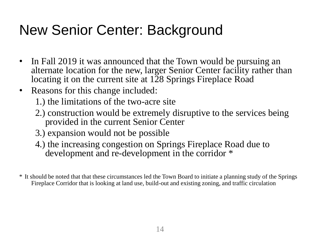### New Senior Center: Background

- In Fall 2019 it was announced that the Town would be pursuing an alternate location for the new, larger Senior Center facility rather than locating it on the current site at 128 Springs Fireplace Road
- Reasons for this change included:
	- 1.) the limitations of the two-acre site
	- 2.) construction would be extremely disruptive to the services being provided in the current Senior Center
	- 3.) expansion would not be possible
	- 4.) the increasing congestion on Springs Fireplace Road due to development and re-development in the corridor \*

\* It should be noted that that these circumstances led the Town Board to initiate a planning study of the Springs Fireplace Corridor that is looking at land use, build-out and existing zoning, and traffic circulation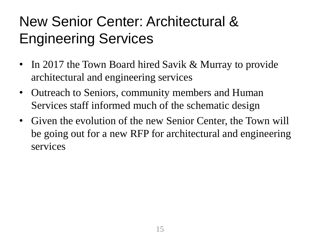### New Senior Center: Architectural & Engineering Services

- In 2017 the Town Board hired Savik & Murray to provide architectural and engineering services
- Outreach to Seniors, community members and Human Services staff informed much of the schematic design
- Given the evolution of the new Senior Center, the Town will be going out for a new RFP for architectural and engineering services